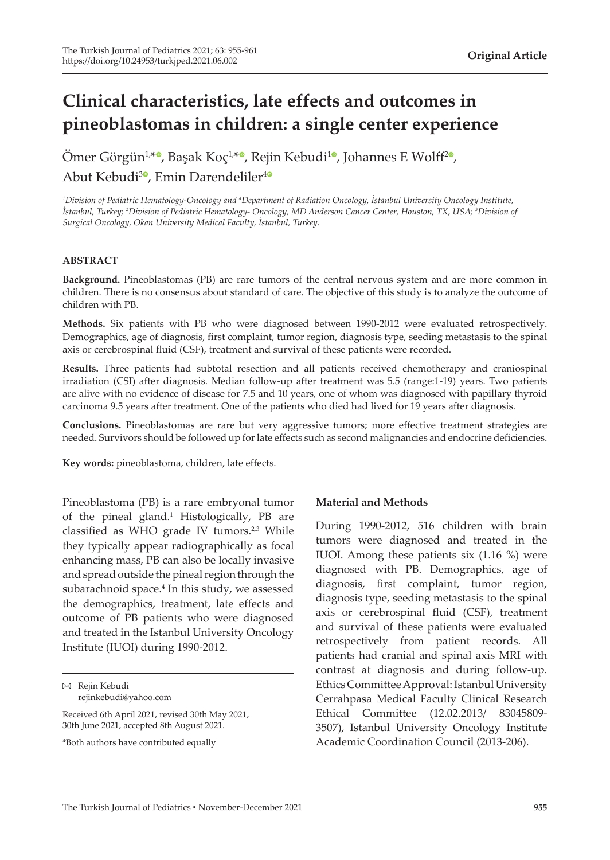# **Clinical characteristics, late effects and outcomes in pineoblastomas in children: a single center experience**

Ömer Görgün<sup>1[,](https://orcid.org/0000-0002-0978-7992)∗®</sup>, Başak Koç<sup>[1](https://orcid.org/0000-0003-4344-8174),∗®</sup>, Rejin Kebudi<sup>1®</sup>, Johannes E Wolff<sup>[2](https://orcid.org/0000-0002-6061-6718)®</sup>, Abut Kebudi<sup>[3](https://orcid.org/0000-0003-4626-635X)</sup>, Emin Darendeliler<sup>[4](https://orcid.org/0000-0001-9017-4108)0</sup>

*1 Division of Pediatric Hematology-Oncology and 4 Department of Radiation Oncology, İstanbul University Oncology Institute, İstanbul, Turkey; 2 Division of Pediatric Hematology- Oncology, MD Anderson Cancer Center, Houston, TX, USA; 3 Division of Surgical Oncology, Okan University Medical Faculty, İstanbul, Turkey.*

## **ABSTRACT**

**Background.** Pineoblastomas (PB) are rare tumors of the central nervous system and are more common in children. There is no consensus about standard of care. The objective of this study is to analyze the outcome of children with PB.

**Methods.** Six patients with PB who were diagnosed between 1990-2012 were evaluated retrospectively. Demographics, age of diagnosis, first complaint, tumor region, diagnosis type, seeding metastasis to the spinal axis or cerebrospinal fluid (CSF), treatment and survival of these patients were recorded.

**Results.** Three patients had subtotal resection and all patients received chemotherapy and craniospinal irradiation (CSI) after diagnosis. Median follow-up after treatment was 5.5 (range:1-19) years. Two patients are alive with no evidence of disease for 7.5 and 10 years, one of whom was diagnosed with papillary thyroid carcinoma 9.5 years after treatment. One of the patients who died had lived for 19 years after diagnosis.

**Conclusions.** Pineoblastomas are rare but very aggressive tumors; more effective treatment strategies are needed. Survivors should be followed up for late effects such as second malignancies and endocrine deficiencies.

**Key words:** pineoblastoma, children, late effects.

Pineoblastoma (PB) is a rare embryonal tumor of the pineal gland.<sup>1</sup> Histologically, PB are classified as WHO grade IV tumors.<sup>2,3</sup> While they typically appear radiographically as focal enhancing mass, PB can also be locally invasive and spread outside the pineal region through the subarachnoid space.<sup>4</sup> In this study, we assessed the demographics, treatment, late effects and outcome of PB patients who were diagnosed and treated in the Istanbul University Oncology Institute (IUOI) during 1990-2012.

# **Material and Methods**

During 1990-2012, 516 children with brain tumors were diagnosed and treated in the IUOI. Among these patients six (1.16 %) were diagnosed with PB. Demographics, age of diagnosis, first complaint, tumor region, diagnosis type, seeding metastasis to the spinal axis or cerebrospinal fluid (CSF), treatment and survival of these patients were evaluated retrospectively from patient records. All patients had cranial and spinal axis MRI with contrast at diagnosis and during follow-up. Ethics Committee Approval: Istanbul University Cerrahpasa Medical Faculty Clinical Research Ethical Committee (12.02.2013/ 83045809- 3507), Istanbul University Oncology Institute Academic Coordination Council (2013-206).

Rejin Kebudi rejinkebudi@yahoo.com

Received 6th April 2021, revised 30th May 2021, 30th June 2021, accepted 8th August 2021.

<sup>\*</sup>Both authors have contributed equally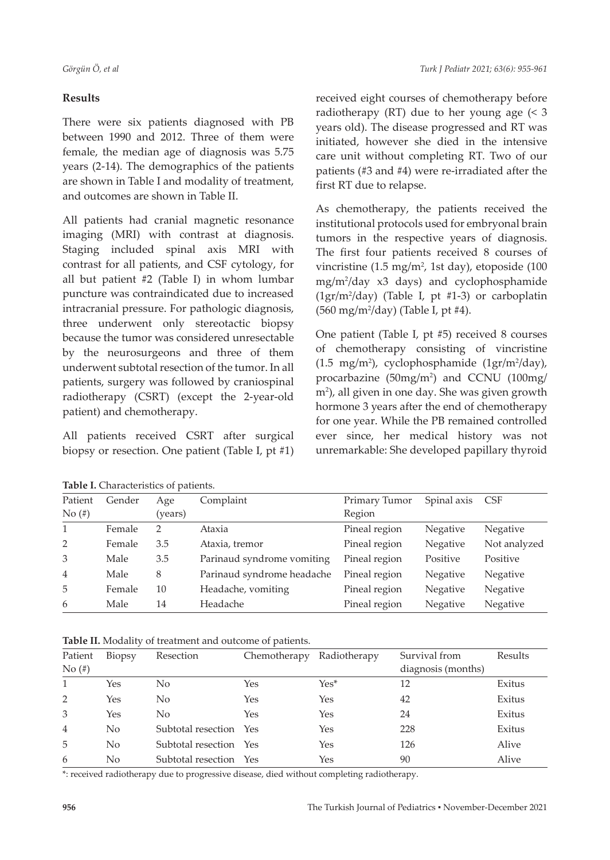#### *Görgün Ö, et al Turk J Pediatr 2021; 63(6): 955-961*

# **Results**

There were six patients diagnosed with PB between 1990 and 2012. Three of them were female, the median age of diagnosis was 5.75 years (2-14). The demographics of the patients are shown in Table I and modality of treatment, and outcomes are shown in Table II.

All patients had cranial magnetic resonance imaging (MRI) with contrast at diagnosis. Staging included spinal axis MRI with contrast for all patients, and CSF cytology, for all but patient #2 (Table I) in whom lumbar puncture was contraindicated due to increased intracranial pressure. For pathologic diagnosis, three underwent only stereotactic biopsy because the tumor was considered unresectable by the neurosurgeons and three of them underwent subtotal resection of the tumor. In all patients, surgery was followed by craniospinal radiotherapy (CSRT) (except the 2-year-old patient) and chemotherapy.

All patients received CSRT after surgical biopsy or resection. One patient (Table I, pt #1)

**Table I.** Characteristics of patients.

received eight courses of chemotherapy before radiotherapy (RT) due to her young age (< 3 years old). The disease progressed and RT was initiated, however she died in the intensive care unit without completing RT. Two of our patients (#3 and #4) were re-irradiated after the first RT due to relapse.

As chemotherapy, the patients received the institutional protocols used for embryonal brain tumors in the respective years of diagnosis. The first four patients received 8 courses of vincristine  $(1.5 \text{ mg/m}^2, 1 \text{ st day})$ , etoposide  $(100 \text{ m})$ mg/m2 /day x3 days) and cyclophosphamide (1gr/m2 /day) (Table I, pt #1-3) or carboplatin (560 mg/m2 /day) (Table I, pt #4).

One patient (Table I, pt #5) received 8 courses of chemotherapy consisting of vincristine  $(1.5 \text{ mg/m}^2)$ , cyclophosphamide  $(1 \text{gr/m}^2/\text{day})$ , procarbazine (50mg/m2 ) and CCNU (100mg/ m2 ), all given in one day. She was given growth hormone 3 years after the end of chemotherapy for one year. While the PB remained controlled ever since, her medical history was not unremarkable: She developed papillary thyroid

| Patient<br>Gender<br>Age     |        |     | Complaint                  | Primary Tumor | Spinal axis | CSF          |  |  |  |  |
|------------------------------|--------|-----|----------------------------|---------------|-------------|--------------|--|--|--|--|
| $\mathrm{No}(\#)$<br>(years) |        |     |                            | Region        |             |              |  |  |  |  |
| $\mathbf{1}$                 | Female | 2   | Ataxia                     | Pineal region | Negative    | Negative     |  |  |  |  |
| 2                            | Female | 3.5 | Ataxia, tremor             | Pineal region | Negative    | Not analyzed |  |  |  |  |
| 3                            | Male   | 3.5 | Parinaud syndrome vomiting | Pineal region | Positive    | Positive     |  |  |  |  |
| $\overline{4}$               | Male   | 8   | Parinaud syndrome headache | Pineal region | Negative    | Negative     |  |  |  |  |
| 5                            | Female | 10  | Headache, vomiting         | Pineal region | Negative    | Negative     |  |  |  |  |
| 6                            | Male   | 14  | Headache                   | Pineal region | Negative    | Negative     |  |  |  |  |

**Table II.** Modality of treatment and outcome of patients.

| Patient           | Biopsy | Resection              | Chemotherapy | Radiotherapy | Survival from      | Results |
|-------------------|--------|------------------------|--------------|--------------|--------------------|---------|
| $\mathrm{No}(\#)$ |        |                        |              |              | diagnosis (months) |         |
|                   | Yes    | No.                    | Yes          | $Yes*$       | 12                 | Exitus  |
| 2                 | Yes    | No.                    | Yes          | Yes          | 42                 | Exitus  |
| 3                 | Yes    | No                     | Yes          | Yes          | 24                 | Exitus  |
| $\overline{4}$    | No     | Subtotal resection Yes |              | Yes          | 228                | Exitus  |
| 5                 | No     | Subtotal resection Yes |              | Yes          | 126                | Alive   |
| 6                 | No     | Subtotal resection Yes |              | Yes          | 90                 | Alive   |

\*: received radiotherapy due to progressive disease, died without completing radiotherapy.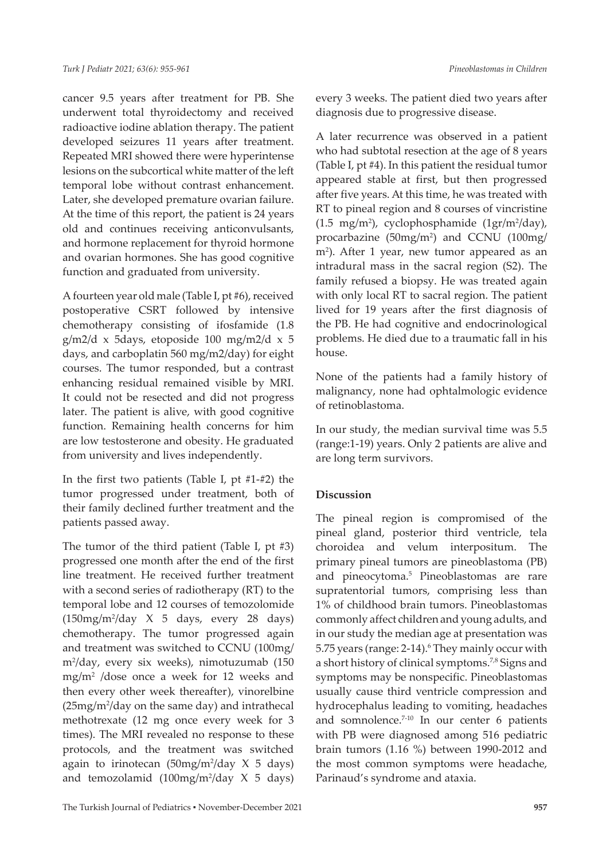cancer 9.5 years after treatment for PB. She underwent total thyroidectomy and received radioactive iodine ablation therapy. The patient developed seizures 11 years after treatment. Repeated MRI showed there were hyperintense lesions on the subcortical white matter of the left temporal lobe without contrast enhancement. Later, she developed premature ovarian failure. At the time of this report, the patient is 24 years old and continues receiving anticonvulsants, and hormone replacement for thyroid hormone and ovarian hormones. She has good cognitive function and graduated from university.

A fourteen year old male (Table I, pt #6), received postoperative CSRT followed by intensive chemotherapy consisting of ifosfamide (1.8 g/m2/d x 5days, etoposide 100 mg/m2/d x 5 days, and carboplatin 560 mg/m2/day) for eight courses. The tumor responded, but a contrast enhancing residual remained visible by MRI. It could not be resected and did not progress later. The patient is alive, with good cognitive function. Remaining health concerns for him are low testosterone and obesity. He graduated from university and lives independently.

In the first two patients (Table I, pt #1-#2) the tumor progressed under treatment, both of their family declined further treatment and the patients passed away.

The tumor of the third patient (Table I, pt #3) progressed one month after the end of the first line treatment. He received further treatment with a second series of radiotherapy (RT) to the temporal lobe and 12 courses of temozolomide (150mg/m2 /day X 5 days, every 28 days) chemotherapy. The tumor progressed again and treatment was switched to CCNU (100mg/ m2 /day, every six weeks), nimotuzumab (150 mg/m2 /dose once a week for 12 weeks and then every other week thereafter), vinorelbine  $(25mg/m<sup>2</sup>/day)$  on the same day) and intrathecal methotrexate (12 mg once every week for 3 times). The MRI revealed no response to these protocols, and the treatment was switched again to irinotecan  $(50mg/m^2/day \times 5 days)$ and temozolamid  $(100mg/m^2/day \times 5 days)$ 

every 3 weeks. The patient died two years after diagnosis due to progressive disease.

A later recurrence was observed in a patient who had subtotal resection at the age of 8 years (Table I, pt #4). In this patient the residual tumor appeared stable at first, but then progressed after five years. At this time, he was treated with RT to pineal region and 8 courses of vincristine  $(1.5 \text{ mg/m}^2)$ , cyclophosphamide  $(1 \text{gr/m}^2/\text{day})$ , procarbazine (50mg/m2 ) and CCNU (100mg/ m2 ). After 1 year, new tumor appeared as an intradural mass in the sacral region (S2). The family refused a biopsy. He was treated again with only local RT to sacral region. The patient lived for 19 years after the first diagnosis of the PB. He had cognitive and endocrinological problems. He died due to a traumatic fall in his house.

None of the patients had a family history of malignancy, none had ophtalmologic evidence of retinoblastoma.

In our study, the median survival time was 5.5 (range:1-19) years. Only 2 patients are alive and are long term survivors.

## **Discussion**

The pineal region is compromised of the pineal gland, posterior third ventricle, tela choroidea and velum interpositum. The primary pineal tumors are pineoblastoma (PB) and pineocytoma.<sup>5</sup> Pineoblastomas are rare supratentorial tumors, comprising less than 1% of childhood brain tumors. Pineoblastomas commonly affect children and young adults, and in our study the median age at presentation was 5.75 years (range: 2-14).<sup>6</sup> They mainly occur with a short history of clinical symptoms.<sup>7,8</sup> Signs and symptoms may be nonspecific. Pineoblastomas usually cause third ventricle compression and hydrocephalus leading to vomiting, headaches and somnolence.<sup>7-10</sup> In our center 6 patients with PB were diagnosed among 516 pediatric brain tumors (1.16 %) between 1990-2012 and the most common symptoms were headache, Parinaud's syndrome and ataxia.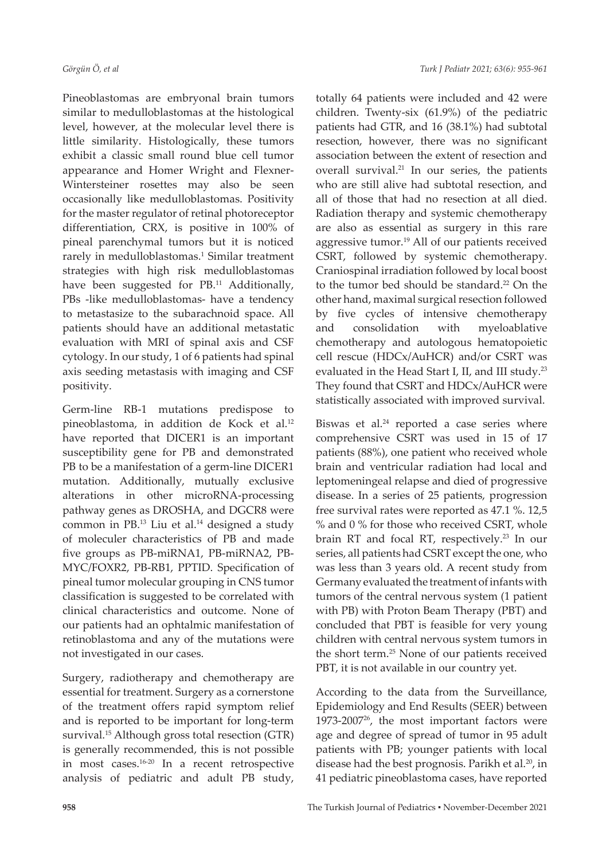Pineoblastomas are embryonal brain tumors similar to medulloblastomas at the histological level, however, at the molecular level there is little similarity. Histologically, these tumors exhibit a classic small round blue cell tumor appearance and Homer Wright and Flexner-Wintersteiner rosettes may also be seen occasionally like medulloblastomas. Positivity for the master regulator of retinal photoreceptor differentiation, CRX, is positive in 100% of pineal parenchymal tumors but it is noticed rarely in medulloblastomas.<sup>1</sup> Similar treatment strategies with high risk medulloblastomas have been suggested for PB.<sup>11</sup> Additionally, PBs -like medulloblastomas- have a tendency to metastasize to the subarachnoid space. All patients should have an additional metastatic evaluation with MRI of spinal axis and CSF cytology. In our study, 1 of 6 patients had spinal axis seeding metastasis with imaging and CSF positivity.

Germ-line RB-1 mutations predispose to pineoblastoma, in addition de Kock et al.<sup>12</sup> have reported that DICER1 is an important susceptibility gene for PB and demonstrated PB to be a manifestation of a germ-line DICER1 mutation. Additionally, mutually exclusive alterations in other microRNA-processing pathway genes as DROSHA, and DGCR8 were common in PB.<sup>13</sup> Liu et al.<sup>14</sup> designed a study of moleculer characteristics of PB and made five groups as PB-miRNA1, PB-miRNA2, PB-MYC/FOXR2, PB-RB1, PPTID. Specification of pineal tumor molecular grouping in CNS tumor classification is suggested to be correlated with clinical characteristics and outcome. None of our patients had an ophtalmic manifestation of retinoblastoma and any of the mutations were not investigated in our cases.

Surgery, radiotherapy and chemotherapy are essential for treatment. Surgery as a cornerstone of the treatment offers rapid symptom relief and is reported to be important for long-term survival.<sup>15</sup> Although gross total resection (GTR) is generally recommended, this is not possible in most cases.16-20 In a recent retrospective analysis of pediatric and adult PB study,

totally 64 patients were included and 42 were children. Twenty-six (61.9%) of the pediatric patients had GTR, and 16 (38.1%) had subtotal resection, however, there was no significant association between the extent of resection and overall survival.<sup>21</sup> In our series, the patients who are still alive had subtotal resection, and all of those that had no resection at all died. Radiation therapy and systemic chemotherapy are also as essential as surgery in this rare aggressive tumor.19 All of our patients received CSRT, followed by systemic chemotherapy. Craniospinal irradiation followed by local boost to the tumor bed should be standard.<sup>22</sup> On the other hand, maximal surgical resection followed by five cycles of intensive chemotherapy and consolidation with myeloablative chemotherapy and autologous hematopoietic cell rescue (HDCx/AuHCR) and/or CSRT was evaluated in the Head Start I, II, and III study.23 They found that CSRT and HDCx/AuHCR were statistically associated with improved survival.

Biswas et al.<sup>24</sup> reported a case series where comprehensive CSRT was used in 15 of 17 patients (88%), one patient who received whole brain and ventricular radiation had local and leptomeningeal relapse and died of progressive disease. In a series of 25 patients, progression free survival rates were reported as 47.1 %. 12,5 % and 0 % for those who received CSRT, whole brain RT and focal RT, respectively.<sup>23</sup> In our series, all patients had CSRT except the one, who was less than 3 years old. A recent study from Germany evaluated the treatment of infants with tumors of the central nervous system (1 patient with PB) with Proton Beam Therapy (PBT) and concluded that PBT is feasible for very young children with central nervous system tumors in the short term.25 None of our patients received PBT, it is not available in our country yet.

According to the data from the Surveillance, Epidemiology and End Results (SEER) between 1973-200726, the most important factors were age and degree of spread of tumor in 95 adult patients with PB; younger patients with local disease had the best prognosis. Parikh et al.<sup>20</sup>, in 41 pediatric pineoblastoma cases, have reported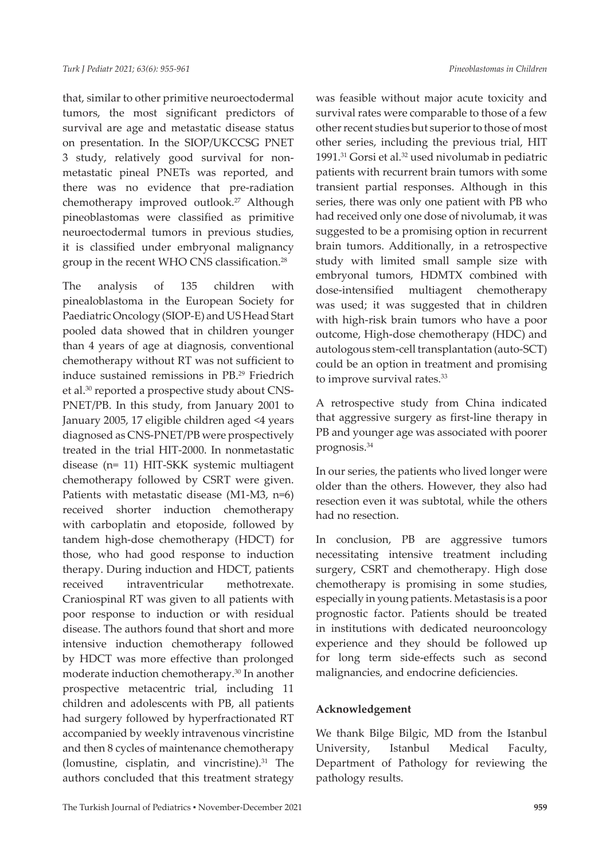that, similar to other primitive neuroectodermal tumors, the most significant predictors of survival are age and metastatic disease status on presentation. In the SIOP/UKCCSG PNET 3 study, relatively good survival for nonmetastatic pineal PNETs was reported, and there was no evidence that pre-radiation chemotherapy improved outlook.<sup>27</sup> Although pineoblastomas were classified as primitive neuroectodermal tumors in previous studies, it is classified under embryonal malignancy group in the recent WHO CNS classification.28

The analysis of 135 children with pinealoblastoma in the European Society for Paediatric Oncology (SIOP-E) and US Head Start pooled data showed that in children younger than 4 years of age at diagnosis, conventional chemotherapy without RT was not sufficient to induce sustained remissions in PB.29 Friedrich et al.<sup>30</sup> reported a prospective study about CNS-PNET/PB. In this study, from January 2001 to January 2005, 17 eligible children aged <4 years diagnosed as CNS-PNET/PB were prospectively treated in the trial HIT-2000. In nonmetastatic disease (n= 11) HIT-SKK systemic multiagent chemotherapy followed by CSRT were given. Patients with metastatic disease (M1-M3, n=6) received shorter induction chemotherapy with carboplatin and etoposide, followed by tandem high-dose chemotherapy (HDCT) for those, who had good response to induction therapy. During induction and HDCT, patients received intraventricular methotrexate. Craniospinal RT was given to all patients with poor response to induction or with residual disease. The authors found that short and more intensive induction chemotherapy followed by HDCT was more effective than prolonged moderate induction chemotherapy.30 In another prospective metacentric trial, including 11 children and adolescents with PB, all patients had surgery followed by hyperfractionated RT accompanied by weekly intravenous vincristine and then 8 cycles of maintenance chemotherapy (lomustine, cisplatin, and vincristine). $31$  The authors concluded that this treatment strategy

The Turkish Journal of Pediatrics ▪ November-December 2021 **959**

was feasible without major acute toxicity and survival rates were comparable to those of a few other recent studies but superior to those of most other series, including the previous trial, HIT 1991.31 Gorsi et al.32 used nivolumab in pediatric patients with recurrent brain tumors with some transient partial responses. Although in this series, there was only one patient with PB who had received only one dose of nivolumab, it was suggested to be a promising option in recurrent brain tumors. Additionally, in a retrospective study with limited small sample size with embryonal tumors, HDMTX combined with dose-intensified multiagent chemotherapy was used; it was suggested that in children with high-risk brain tumors who have a poor outcome, High-dose chemotherapy (HDC) and autologous stem-cell transplantation (auto-SCT) could be an option in treatment and promising to improve survival rates.<sup>33</sup>

A retrospective study from China indicated that aggressive surgery as first-line therapy in PB and younger age was associated with poorer prognosis.<sup>34</sup>

In our series, the patients who lived longer were older than the others. However, they also had resection even it was subtotal, while the others had no resection.

In conclusion, PB are aggressive tumors necessitating intensive treatment including surgery, CSRT and chemotherapy. High dose chemotherapy is promising in some studies, especially in young patients. Metastasis is a poor prognostic factor. Patients should be treated in institutions with dedicated neurooncology experience and they should be followed up for long term side-effects such as second malignancies, and endocrine deficiencies.

# **Acknowledgement**

We thank Bilge Bilgic, MD from the Istanbul University, Istanbul Medical Faculty, Department of Pathology for reviewing the pathology results.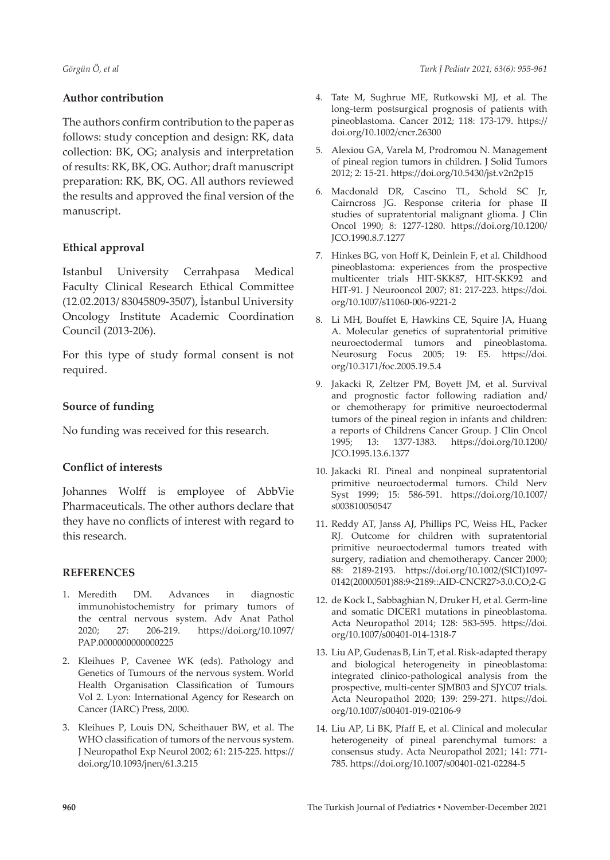# **Author contribution**

The authors confirm contribution to the paper as follows: study conception and design: RK, data collection: BK, OG; analysis and interpretation of results: RK, BK, OG. Author; draft manuscript preparation: RK, BK, OG. All authors reviewed the results and approved the final version of the manuscript.

## **Ethical approval**

Istanbul University Cerrahpasa Medical Faculty Clinical Research Ethical Committee (12.02.2013/ 83045809-3507), İstanbul University Oncology Institute Academic Coordination Council (2013-206).

For this type of study formal consent is not required.

## **Source of funding**

No funding was received for this research.

# **Conflict of interests**

Johannes Wolff is employee of AbbVie Pharmaceuticals. The other authors declare that they have no conflicts of interest with regard to this research.

## **REFERENCES**

- 1. Meredith DM. Advances in diagnostic immunohistochemistry for primary tumors of the central nervous system. Adv Anat Pathol 2020; 27: 206-219. [https://doi.org/10.1097/](https://doi.org/10.1097/PAP.0000000000000225) [PAP.0000000000000225](https://doi.org/10.1097/PAP.0000000000000225)
- 2. Kleihues P, Cavenee WK (eds). Pathology and Genetics of Tumours of the nervous system. World Health Organisation Classification of Tumours Vol 2. Lyon: International Agency for Research on Cancer (IARC) Press, 2000.
- 3. Kleihues P, Louis DN, Scheithauer BW, et al. The WHO classification of tumors of the nervous system. J Neuropathol Exp Neurol 2002; 61: 215-225. [https://](https://doi.org/10.1093/jnen/61.3.215) [doi.org/10.1093/jnen/61.3.215](https://doi.org/10.1093/jnen/61.3.215)
- 4. Tate M, Sughrue ME, Rutkowski MJ, et al. The long-term postsurgical prognosis of patients with pineoblastoma. Cancer 2012; 118: 173-179. [https://](https://doi.org/10.1002/cncr.26300) [doi.org/10.1002/cncr.26300](https://doi.org/10.1002/cncr.26300)
- 5. Alexiou GA, Varela M, Prodromou N. Management of pineal region tumors in children. J Solid Tumors 2012; 2: 15-21.<https://doi.org/10.5430/jst.v2n2p15>
- 6. Macdonald DR, Cascino TL, Schold SC Jr, Cairncross JG. Response criteria for phase II studies of supratentorial malignant glioma. J Clin Oncol 1990; 8: 1277-1280. [https://doi.org/10.1200/](https://doi.org/10.1200/JCO.1990.8.7.1277) [JCO.1990.8.7.1277](https://doi.org/10.1200/JCO.1990.8.7.1277)
- 7. Hinkes BG, von Hoff K, Deinlein F, et al. Childhood pineoblastoma: experiences from the prospective multicenter trials HIT-SKK87, HIT-SKK92 and HIT-91. J Neurooncol 2007; 81: 217-223. [https://doi.](https://doi.org/10.1007/s11060-006-9221-2) [org/10.1007/s11060-006-9221-2](https://doi.org/10.1007/s11060-006-9221-2)
- 8. Li MH, Bouffet E, Hawkins CE, Squire JA, Huang A. Molecular genetics of supratentorial primitive neuroectodermal tumors and pineoblastoma. Neurosurg Focus 2005; 19: E5. [https://doi.](https://doi.org/10.3171/foc.2005.19.5.4) [org/10.3171/foc.2005.19.5.4](https://doi.org/10.3171/foc.2005.19.5.4)
- 9. Jakacki R, Zeltzer PM, Boyett JM, et al. Survival and prognostic factor following radiation and/ or chemotherapy for primitive neuroectodermal tumors of the pineal region in infants and children: a reports of Childrens Cancer Group. J Clin Oncol 1995; 13: 1377-1383. [https://doi.org/10.1200/](https://doi.org/10.1200/JCO.1995.13.6.1377) [JCO.1995.13.6.1377](https://doi.org/10.1200/JCO.1995.13.6.1377)
- 10. Jakacki RI. Pineal and nonpineal supratentorial primitive neuroectodermal tumors. Child Nerv Syst 1999; 15: 586-591. [https://doi.org/10.1007/](https://doi.org/10.1007/s003810050547) [s003810050547](https://doi.org/10.1007/s003810050547)
- 11. Reddy AT, Janss AJ, Phillips PC, Weiss HL, Packer RJ. Outcome for children with supratentorial primitive neuroectodermal tumors treated with surgery, radiation and chemotherapy. Cancer 2000; 88: 2189-2193. [https://doi.org/10.1002/\(SICI\)1097-](https://doi.org/10.1002/(SICI)1097-0142(20000501)88) [0142\(20000501\)88:](https://doi.org/10.1002/(SICI)1097-0142(20000501)88)9<2189::AID-CNCR27>3.0.CO;2-G
- 12. de Kock L, Sabbaghian N, Druker H, et al. Germ-line and somatic DICER1 mutations in pineoblastoma. Acta Neuropathol 2014; 128: 583-595. [https://doi.](https://doi.org/10.1007/s00401-014-1318-7) [org/10.1007/s00401-014-1318-7](https://doi.org/10.1007/s00401-014-1318-7)
- 13. Liu AP, Gudenas B, Lin T, et al. Risk-adapted therapy and biological heterogeneity in pineoblastoma: integrated clinico-pathological analysis from the prospective, multi-center SJMB03 and SJYC07 trials. Acta Neuropathol 2020; 139: 259-271. [https://doi.](https://doi.org/10.1007/s00401-019-02106-9) [org/10.1007/s00401-019-02106-9](https://doi.org/10.1007/s00401-019-02106-9)
- 14. Liu AP, Li BK, Pfaff E, et al. Clinical and molecular heterogeneity of pineal parenchymal tumors: a consensus study. Acta Neuropathol 2021; 141: 771- 785.<https://doi.org/10.1007/s00401-021-02284-5>